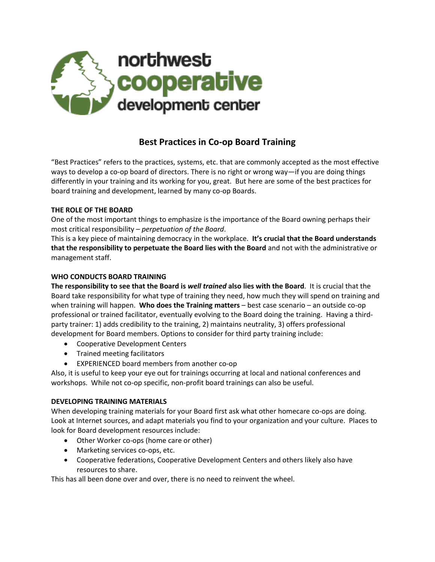

# **Best Practices in Co-op Board Training**

"Best Practices" refers to the practices, systems, etc. that are commonly accepted as the most effective ways to develop a co-op board of directors. There is no right or wrong way—if you are doing things differently in your training and its working for you, great. But here are some of the best practices for board training and development, learned by many co-op Boards.

#### **THE ROLE OF THE BOARD**

One of the most important things to emphasize is the importance of the Board owning perhaps their most critical responsibility – *perpetuation of the Board*.

This is a key piece of maintaining democracy in the workplace. **It's crucial that the Board understands that the responsibility to perpetuate the Board lies with the Board** and not with the administrative or management staff.

## **WHO CONDUCTS BOARD TRAINING**

**The responsibility to see that the Board is** *well trained* **also lies with the Board**. It is crucial that the Board take responsibility for what type of training they need, how much they will spend on training and when training will happen. **Who does the Training matters** – best case scenario – an outside co-op professional or trained facilitator, eventually evolving to the Board doing the training. Having a thirdparty trainer: 1) adds credibility to the training, 2) maintains neutrality, 3) offers professional development for Board members. Options to consider for third party training include:

- Cooperative Development Centers
- Trained meeting facilitators
- EXPERIENCED board members from another co-op

Also, it is useful to keep your eye out for trainings occurring at local and national conferences and workshops. While not co-op specific, non-profit board trainings can also be useful.

#### **DEVELOPING TRAINING MATERIALS**

When developing training materials for your Board first ask what other homecare co-ops are doing. Look at Internet sources, and adapt materials you find to your organization and your culture. Places to look for Board development resources include:

- Other Worker co-ops (home care or other)
- Marketing services co-ops, etc.
- Cooperative federations, Cooperative Development Centers and others likely also have resources to share.

This has all been done over and over, there is no need to reinvent the wheel.